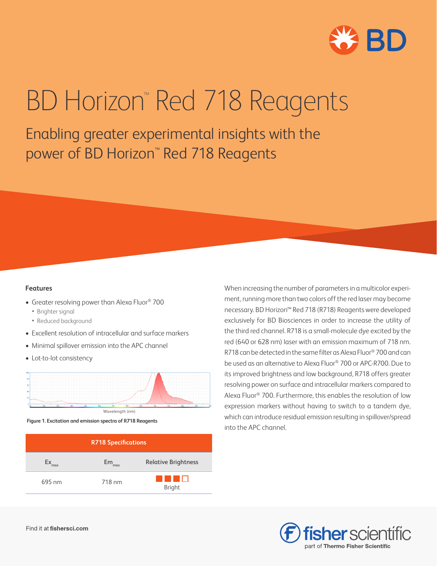

# BD Horizon<sup>™</sup> Red 718 Reagents

Enabling greater experimental insights with the power of BD Horizon<sup>™</sup> Red 718 Reagents

### **Features**

- Greater resolving power than Alexa Fluor® 700
	- Brighter signal
	- Reduced background
- Excellent resolution of intracellular and surface markers
- Minimal spillover emission into the APC channel
- Lot-to-lot consistency



 **Figure 1. Excitation and emission spectra of R718 Reagents**

| <b>R718 Specifications</b> |           |                            |  |  |  |
|----------------------------|-----------|----------------------------|--|--|--|
| max                        | Em<br>max | <b>Relative Brightness</b> |  |  |  |
| 695 nm                     | 718 nm    | <b>Bright</b>              |  |  |  |

When increasing the number of parameters in a multicolor experiment, running more than two colors off the red laser may become necessary. BD Horizon™ Red 718 (R718) Reagents were developed exclusively for BD Biosciences in order to increase the utility of the third red channel. R718 is a small-molecule dye excited by the red (640 or 628 nm) laser with an emission maximum of 718 nm. R718 can be detected in the same filter as Alexa Fluor® 700 and can be used as an alternative to Alexa Fluor® 700 or APC-R700. Due to its improved brightness and low background, R718 offers greater resolving power on surface and intracellular markers compared to Alexa Fluor® 700. Furthermore, this enables the resolution of low expression markers without having to switch to a tandem dye, which can introduce residual emission resulting in spillover/spread into the APC channel.

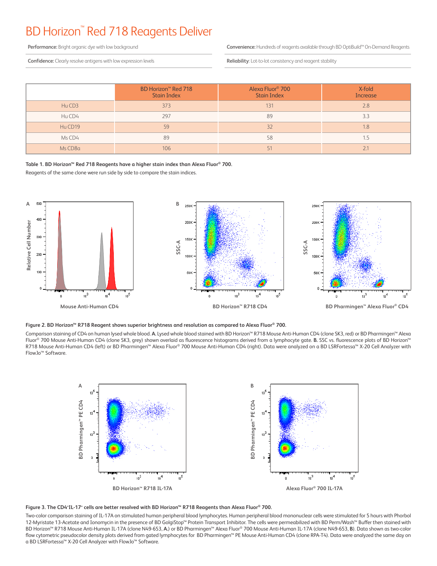## BD Horizon™ Red 718 Reagents Deliver

**Performance:** Bright organic dye with low background

**Confidence:** Clearly resolve antigens with low expression levels

**Convenience:** Hundreds of reagents available through BD OptiBuild™ On-Demand Reagents

**Reliability**: Lot-to-lot consistency and reagent stability

|         | BD Horizon <sup>™</sup> Red 718<br><b>Stain Index</b> | Alexa Fluor <sup>®</sup> 700<br><b>Stain Index</b> | X-fold<br><b>Increase</b> |
|---------|-------------------------------------------------------|----------------------------------------------------|---------------------------|
| Hu CD3  | 373                                                   | 131                                                | 2.8                       |
| Hu CD4  | 297                                                   | 89                                                 | 3.3                       |
| Hu CD19 | 59                                                    | 32                                                 | 1.8                       |
| Ms CD4  | 89                                                    | 58                                                 | כ. ו                      |
| Ms CD8a | 106                                                   |                                                    |                           |

#### **Table 1. BD Horizon™ Red 718 Reagents have a higher stain index than Alexa Fluor® 700.**

Reagents of the same clone were run side by side to compare the stain indices.



#### **Figure 2. BD Horizon™ R718 Reagent shows superior brightness and resolution as compared to Alexa Fluor® 700.**

Comparison staining of CD4 on human lysed whole blood. **A.** Lysed whole blood stained with BD Horizon™ R718 Mouse Anti-Human CD4 (clone SK3, red) or BD Pharmingen™ Alexa Fluor® 700 Mouse Anti-Human CD4 (clone SK3, grey) shown overlaid as fluorescence histograms derived from a lymphocyte gate. **B.** SSC vs. fluorescence plots of BD Horizon™ R718 Mouse Anti-Human CD4 (left) or BD Pharmingen™ Alexa Fluor® 700 Mouse Anti-Human CD4 (right). Data were analyzed on a BD LSRFortessa™ X-20 Cell Analyzer with FlowJo™ Software.





Two-color comparison staining of IL-17A on stimulated human peripheral blood lymphocytes. Human peripheral blood mononuclear cells were stimulated for 5 hours with Phorbol 12-Myristate 13-Acetate and Ionomycin in the presence of BD GolgiStop™ Protein Transport Inhibitor. The cells were permeabilized with BD Perm/Wash™ Buffer then stained with BD Horizon™ R718 Mouse Anti-Human IL-17A (clone N49-653, **A.**) or BD Pharmingen™ Alexa Fluor® 700 Mouse Anti-Human IL-17A (clone N49-653, **B**). Data shown as two-color flow cytometric pseudocolor density plots derived from gated lymphocytes for BD Pharmingen™ PE Mouse Anti-Human CD4 (clone RPA-T4). Data were analyzed the same day on a BD LSRFortessa™ X-20 Cell Analyzer with FlowJo™ Software.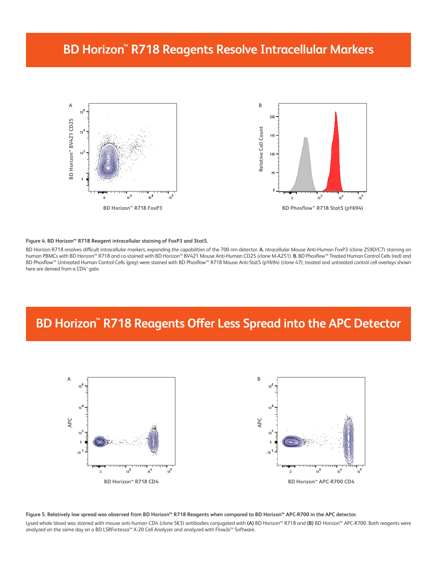## **BD Horizon™ R718 Reagents Resolve Intracellular Markers**



#### **Figure 4. BD Horizon™ R718 Reagent intracellular staining of FoxP3 and Stat5.**

BD Horizon R718 resolves difficult intracellular markers, expanding the capabilities of the 700 nm detector. **A.** ntracellular Mouse Anti-Human FoxP3 (clone 259D/C7) staining on human PBMCs with BD Horizon™ R718 and co-stained with BD Horizon™ BV421 Mouse Anti-Human CD25 (clone M-A251). **B.** BD Phosflow™ Treated Human Control Cells (red) and BD Phosflow™ Untreated Human Control Cells (grey) were stained with BD Phosflow™ R718 Mouse Anti-Stat5 (pY694) (clone 47); treated and untreated control cell overlays shown here are derived from a CD4+ gate.

## **BD Horizon™ R718 Reagents Offer Less Spread into the APC Detector**



**Figure 5. Relatively low spread was observed from BD Horizon™ R718 Reagents when compared to BD Horizon™ APC-R700 in the APC detector.**  Lysed whole blood was stained with mouse anti-human CD4 (clone SK3) antibodies conjugated with **(A)** BD Horizon™ R718 and **(B)** BD Horizon™ APC-R700. Both reagents were analyzed on the same day on a BD LSRFortessa™ X-20 Cell Analyzer and analyzed with FlowJo™ Software.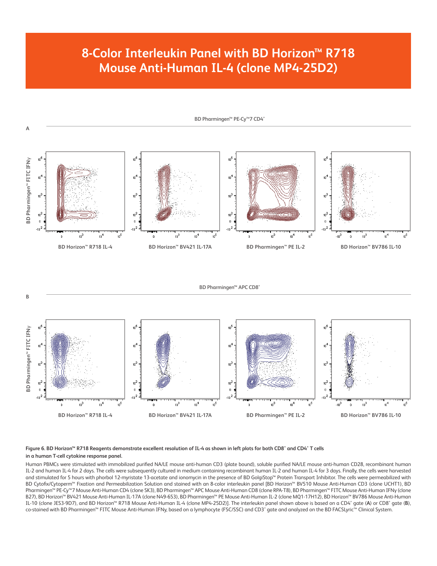## **8-Color Interleukin Panel with BD Horizon™ R718 Mouse Anti-Human IL-4 (clone MP4-25D2)**



**BD Pharmingen™ APC CD8<sup>+</sup>** 



#### **Figure 6. BD Horizon™ R718 Reagents demonstrate excellent resolution of IL-4 as shown in left plots for both CD8⁺ and CD4⁺ T cells in a human T-cell cytokine response panel.**

**B**

Human PBMCs were stimulated with immobilized purified NA/LE mouse anti-human CD3 (plate bound), soluble purified NA/LE mouse anti-human CD28, recombinant human IL-2 and human IL-4 for 2 days. The cells were subsequently cultured in medium containing recombinant human IL-2 and human IL-4 for 3 days. Finally, the cells were harvested and stimulated for 5 hours with phorbol 12-myristate 13-acetate and ionomycin in the presence of BD GolgiStop™ Protein Transport Inhibitor. The cells were permeabilized with BD Cytofix/Cytoperm™ Fixation and Permeabilization Solution and stained with an 8-color interleukin panel [BD Horizon™ BV510 Mouse Anti-Human CD3 (clone UCHT1), BD Pharmingen™ PE-Cy™7 Mouse Anti-Human CD4 (clone SK3), BD Pharmingen™ APC Mouse Anti-Human CD8 (clone RPA-T8), BD Pharmingen™ FITC Mouse Anti-Human IFNγ (clone B27), BD Horizon™ BV421 Mouse Anti-Human IL-17A (clone N49-653), BD Pharmingen™ PE Mouse Anti-Human IL-2 (clone MQ1-17H12), BD Horizon™ BV786 Mouse Anti-Human IL-10 (clone JES3-9D7), and BD Horizon™ R718 Mouse Anti-Human IL-4 (clone MP4-25D2)]. The interleukin panel shown above is based on a CD4⁺ gate (**A**) or CD8⁺ gate (**B**), co-stained with BD Pharmingen™ FITC Mouse Anti-Human IFNy, based on a lymphocyte (FSC/SSC) and CD3⁺ gate and analyzed on the BD FACSLyric™ Clinical System.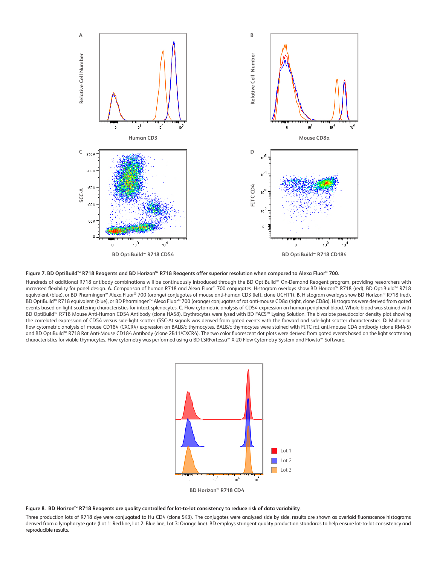



Hundreds of additional R718 antibody combinations will be continuously introduced through the BD OptiBuild™ On-Demand Reagent program, providing researchers with increased flexibility for panel design. **A.** Comparison of human R718 and Alexa Fluor® 700 conjugates. Histogram overlays show BD Horizon™ R718 (red), BD OptiBuild™ R718 equivalent (blue), or BD Pharmingen™ Alexa Fluor® 700 (orange) conjugates of mouse anti-human CD3 (left, clone UCHT1). **B.** Histogram overlays show BD Horizon™ R718 (red), BD OptiBuild™ R718 equivalent (blue), or BD Pharmingen™ Alexa Fluor® 700 (orange) conjugates of rat anti-mouse CD8a (right, clone CD8a). Histograms were derived from gated events based on light scattering characteristics for intact splenocytes. **C.** Flow cytometric analysis of CD54 expression on human peripheral blood. Whole blood was stained with BD OptiBuild™ R718 Mouse Anti-Human CD54 Antibody (clone HA58). Erythrocytes were lysed with BD FACS™ Lysing Solution. The bivariate pseudocolor density plot showing the correlated expression of CD54 versus side-light scatter (SSC-A) signals was derived from gated events with the forward and side-light scatter characteristics. **D.** Multicolor flow cytometric analysis of mouse CD184 (CXCR4) expression on BALB/c thymocytes. BALB/c thymocytes were stained with FITC rat anti-mouse CD4 antibody (clone RM4-5) and BD OptiBuild™ R718 Rat Anti-Mouse CD184 Antibody (clone 2B11/CXCR4). The two color fluorescent dot plots were derived from gated events based on the light scattering characteristics for viable thymocytes. Flow cytometry was performed using a BD LSRFortessa™ X-20 Flow Cytometry System and FlowJo™ Software.



**Figure 8. BD Horizon™ R718 Reagents are quality controlled for lot-to-lot consistency to reduce risk of data variability.**

Three production lots of R718 dye were conjugated to Hu CD4 (clone SK3). The conjugates were analyzed side by side, results are shown as overlaid fluorescence histograms derived from a lymphocyte gate (Lot 1: Red line, Lot 2: Blue line, Lot 3: Orange line). BD employs stringent quality production standards to help ensure lot-to-lot consistency and reproducible results.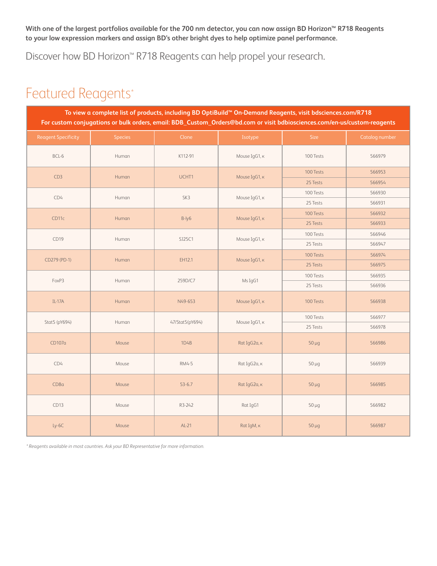**With one of the largest portfolios available for the 700 nm detector, you can now assign BD Horizon™ R718 Reagents to your low expression markers and assign BD's other bright dyes to help optimize panel performance.**

Discover how BD Horizon™ R718 Reagents can help propel your research.

## Featured Reagents\*

| To view a complete list of products, including BD OptiBuild™ On-Demand Reagents, visit bdsciences.com/R718<br>For custom conjugations or bulk orders, email: BDB_Custom_Orders@bd.com or visit bdbiosciences.com/en-us/custom-reagents |                |                 |               |            |                       |  |  |
|----------------------------------------------------------------------------------------------------------------------------------------------------------------------------------------------------------------------------------------|----------------|-----------------|---------------|------------|-----------------------|--|--|
| <b>Reagent Specificity</b>                                                                                                                                                                                                             | <b>Species</b> | Clone           | Isotype       | Size       | <b>Catalog number</b> |  |  |
| BCL-6                                                                                                                                                                                                                                  | Human          | K112-91         | Mouse IgG1, K | 100 Tests  | 566979                |  |  |
| CD3                                                                                                                                                                                                                                    | Human          | UCHT1           | Mouse IgG1, K | 100 Tests  | 566953                |  |  |
|                                                                                                                                                                                                                                        |                |                 |               | 25 Tests   | 566954                |  |  |
| CD4                                                                                                                                                                                                                                    | Human          | SK3             | Mouse IgG1, K | 100 Tests  | 566930                |  |  |
|                                                                                                                                                                                                                                        |                |                 |               | 25 Tests   | 566931                |  |  |
| CD <sub>11c</sub>                                                                                                                                                                                                                      | Human          | B-ly6           | Mouse IgG1, K | 100 Tests  | 566932                |  |  |
|                                                                                                                                                                                                                                        |                |                 |               | 25 Tests   | 566933                |  |  |
| CD19                                                                                                                                                                                                                                   | Human          | SJ25C1          | Mouse IgG1, K | 100 Tests  | 566946                |  |  |
|                                                                                                                                                                                                                                        |                |                 |               | 25 Tests   | 566947                |  |  |
|                                                                                                                                                                                                                                        |                | EH12.1          | Mouse IgG1, K | 100 Tests  | 566974                |  |  |
| CD279 (PD-1)                                                                                                                                                                                                                           | Human          |                 |               | 25 Tests   | 566975                |  |  |
|                                                                                                                                                                                                                                        | Human          | 259D/C7         | Ms IgG1       | 100 Tests  | 566935                |  |  |
| FoxP3                                                                                                                                                                                                                                  |                |                 |               | 25 Tests   | 566936                |  |  |
| $IL-17A$                                                                                                                                                                                                                               | Human          | N49-653         | Mouse IgG1, K | 100 Tests  | 566938                |  |  |
| Stat5 (pY694)                                                                                                                                                                                                                          | Human          | 47/Stat5(pY694) | Mouse IgG1, к | 100 Tests  | 566977                |  |  |
|                                                                                                                                                                                                                                        |                |                 |               | 25 Tests   | 566978                |  |  |
| CD107a                                                                                                                                                                                                                                 | Mouse          | 1D4B            | Rat IgG2a, K  | $50 \mu g$ | 566986                |  |  |
| CD4                                                                                                                                                                                                                                    | Mouse          | RM4-5           | Rat IgG2a, K  | $50 \mu g$ | 566939                |  |  |
| CD8a                                                                                                                                                                                                                                   | Mouse          | $53 - 6.7$      | Rat IgG2a, K  | $50 \mu g$ | 566985                |  |  |
| CD13                                                                                                                                                                                                                                   | Mouse          | R3-242          | Rat IgG1      | $50 \mu g$ | 566982                |  |  |
| $Ly-6C$                                                                                                                                                                                                                                | Mouse          | $AL-21$         | Rat IgM, K    | $50 \mu g$ | 566987                |  |  |

*\* Reagents available in most countries. Ask your BD Representative for more information.*